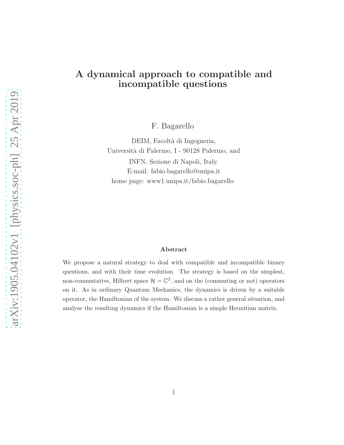# A dynamical approach to compatible and incompatible questions

F. Bagarello

DEIM, Facoltà di Ingegneria, Universit`a di Palermo, I - 90128 Palermo, and INFN, Sezione di Napoli, Italy. E-mail: fabio.bagarello@unipa.it home page: www1.unipa.it/fabio.bagarello

#### Abstract

We propose a natural strategy to deal with compatible and incompatible binary questions, and with their time evolution. The strategy is based on the simplest, non-commutative, Hilbert space  $\mathcal{H} = \mathbb{C}^2$ , and on the (commuting or not) operators on it. As in ordinary Quantum Mechanics, the dynamics is driven by a suitable operator, the Hamiltonian of the system. We discuss a rather general situation, and analyse the resulting dynamics if the Hamiltonian is a simple Hermitian matrix.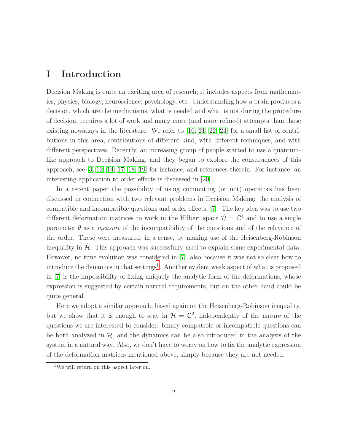### I Introduction

Decision Making is quite an exciting area of research; it includes aspects from mathematics, physics, biology, neuroscience, psychology, etc. Understanding how a brain produces a decision, which are the mechanisms, what is needed and what is not during the procedure of decision, requires a lot of work and many more (and more refined) attempts than those existing nowadays in the literature. We refer to  $[16, 21, 22, 24]$  $[16, 21, 22, 24]$  $[16, 21, 22, 24]$  $[16, 21, 22, 24]$  for a small list of contributions in this area, contributions of different kind, with different techniques, and with different perspectives. Recently, an increasing group of people started to use a quantumlike approach to Decision Making, and they began to explore the consequences of this approach, see [\[3,](#page-21-0) [12,](#page-22-4) [14,](#page-22-5) [17,](#page-22-6) [18,](#page-22-7) [19\]](#page-22-8) for instance, and references therein. For instance, an interesting application to order effects is discussed in [\[20\]](#page-22-9).

In a recent paper the possibility of using commuting (or not) operators has been discussed in connection with two relevant problems in Decision Making: the analysis of compatible and incompatible questions and order effects, [\[7\]](#page-21-1). The key idea was to use two different deformation matrices to work in the Hilbert space  $\hat{\mathcal{H}} = \mathbb{C}^4$  and to use a single parameter  $\theta$  as a *measure* of the incompatibility of the questions and of the relevance of the order. These were measured, in a sense, by making use of the Heisenberg-Robinson inequality in  $\mathcal{H}$ . This approach was successfully used to explain some experimental data. However, no time evolution was considered in [\[7\]](#page-21-1), also because it was not so clear how to introduce the dynamics in that settings<sup>[1](#page-1-0)</sup>. Another evident weak aspect of what is proposed in [\[7\]](#page-21-1) is the impossibility of fixing uniquely the analytic form of the deformations, whose expression is suggested by certain natural requirements, but on the other hand could be quite general.

Here we adopt a similar approach, based again on the Heisenberg-Robinson inequality, but we show that it is enough to stay in  $\mathcal{H} = \mathbb{C}^2$ , independently of the nature of the questions we are interested to consider: binary compatible or incompatible questions can be both analyzed in  $H$ , and the dynamics can be also introduced in the analysis of the system in a natural way. Also, we don't have to worry on how to fix the analytic expression of the deformation matrices mentioned above, simply because they are not needed.

<span id="page-1-0"></span><sup>1</sup>We will return on this aspect later on.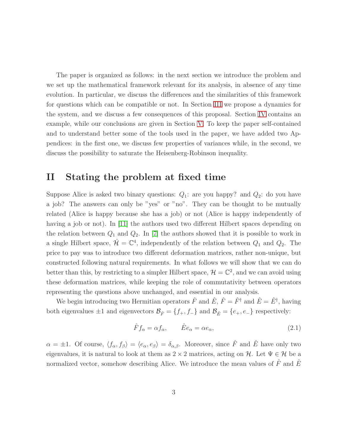The paper is organized as follows: in the next section we introduce the problem and we set up the mathematical framework relevant for its analysis, in absence of any time evolution. In particular, we discuss the differences and the similarities of this framework for questions which can be compatible or not. In Section [III](#page-9-0) we propose a dynamics for the system, and we discuss a few consequences of this proposal. Section [IV](#page-14-0) contains an example, while our conclusions are given in Section [V.](#page-18-0) To keep the paper self-contained and to understand better some of the tools used in the paper, we have added two Appendices: in the first one, we discuss few properties of variances while, in the second, we discuss the possibility to saturate the Heisenberg-Robinson inequality.

### <span id="page-2-1"></span>II Stating the problem at fixed time

Suppose Alice is asked two binary questions:  $Q_1$ : are you happy? and  $Q_2$ : do you have a job? The answers can only be "yes" or "no". They can be thought to be mutually related (Alice is happy because she has a job) or not (Alice is happy independently of having a job or not). In [\[11\]](#page-21-2) the authors used two different Hilbert spaces depending on the relation between  $Q_1$  and  $Q_2$ . In [\[7\]](#page-21-1) the authors showed that it is possible to work in a single Hilbert space,  $\hat{\mathcal{H}} = \mathbb{C}^4$ , independently of the relation between  $Q_1$  and  $Q_2$ . The price to pay was to introduce two different deformation matrices, rather non-unique, but constructed following natural requirements. In what follows we will show that we can do better than this, by restricting to a simpler Hilbert space,  $\mathcal{H} = \mathbb{C}^2$ , and we can avoid using these deformation matrices, while keeping the role of commutativity between operators representing the questions above unchanged, and essential in our analysis.

We begin introducing two Hermitian operators  $\hat{F}$  and  $\hat{E}$ ,  $\hat{F} = \hat{F}^{\dagger}$  and  $\hat{E} = \hat{E}^{\dagger}$ , having both eigenvalues  $\pm 1$  and eigenvectors  $\mathcal{B}_{\hat{F}} = \{f_+, f_-\}$  and  $\mathcal{B}_{\hat{E}} = \{e_+, e_-\}$  respectively:

<span id="page-2-0"></span>
$$
\hat{F}f_{\alpha} = \alpha f_{\alpha}, \qquad \hat{E}e_{\alpha} = \alpha e_{\alpha}, \tag{2.1}
$$

 $\alpha = \pm 1$ . Of course,  $\langle f_{\alpha}, f_{\beta} \rangle = \langle e_{\alpha}, e_{\beta} \rangle = \delta_{\alpha,\beta}$ . Moreover, since  $\hat{F}$  and  $\hat{E}$  have only two eigenvalues, it is natural to look at them as  $2 \times 2$  matrices, acting on H. Let  $\Psi \in \mathcal{H}$  be a normalized vector, somehow describing Alice. We introduce the mean values of  $\hat{F}$  and  $\hat{E}$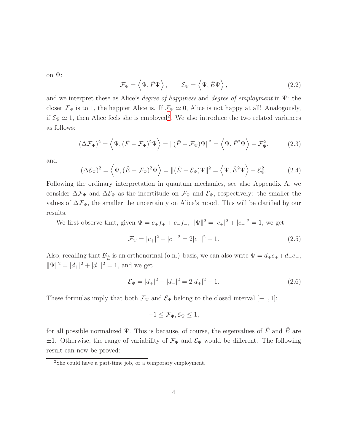on  $\Psi$ :

<span id="page-3-2"></span>
$$
\mathcal{F}_{\Psi} = \langle \Psi, \hat{F} \Psi \rangle, \qquad \mathcal{E}_{\Psi} = \langle \Psi, \hat{E} \Psi \rangle, \qquad (2.2)
$$

and we interpret these as Alice's *degree of happiness* and *degree of employment* in  $\Psi$ : the closer  $\mathcal{F}_{\Psi}$  is to 1, the happier Alice is. If  $\mathcal{F}_{\Psi} \simeq 0$ , Alice is not happy at all! Analogously, if  $\mathcal{E}_{\Psi} \simeq 1$ , then Alice feels she is employed<sup>[2](#page-3-0)</sup>. We also introduce the two related variances as follows:

<span id="page-3-3"></span>
$$
(\Delta \mathcal{F}_{\Psi})^2 = \left\langle \Psi, (\hat{F} - \mathcal{F}_{\Psi})^2 \Psi \right\rangle = \| (\hat{F} - \mathcal{F}_{\Psi}) \Psi \|^2 = \left\langle \Psi, \hat{F}^2 \Psi \right\rangle - \mathcal{F}_{\Psi}^2,\tag{2.3}
$$

and

$$
(\Delta \mathcal{E}_{\Psi})^2 = \left\langle \Psi, (\hat{E} - \mathcal{F}_{\Psi})^2 \Psi \right\rangle = \| (\hat{E} - \mathcal{E}_{\Psi}) \Psi \|^2 = \left\langle \Psi, \hat{E}^2 \Psi \right\rangle - \mathcal{E}_{\Psi}^2. \tag{2.4}
$$

Following the ordinary interpretation in quantum mechanics, see also Appendix A, we consider  $\Delta \mathcal{F}_{\Psi}$  and  $\Delta \mathcal{E}_{\Psi}$  as the incertitude on  $\mathcal{F}_{\Psi}$  and  $\mathcal{E}_{\Psi}$ , respectively: the smaller the values of  $\Delta\mathcal{F}_{\Psi}$ , the smaller the uncertainty on Alice's mood. This will be clarified by our results.

We first observe that, given  $\Psi = c_+ f_+ + c_- f_-, ||\Psi||^2 = |c_+|^2 + |c_-|^2 = 1$ , we get

<span id="page-3-1"></span>
$$
\mathcal{F}_{\Psi} = |c_{+}|^{2} - |c_{-}|^{2} = 2|c_{+}|^{2} - 1.
$$
\n(2.5)

Also, recalling that  $\mathcal{B}_{\hat{E}}$  is an orthonormal (o.n.) basis, we can also write  $\Psi = d_+e_+ + d_-e_-,$  $\|\Psi\|^2 = |d_+|^2 + |d_-|^2 = 1$ , and we get

$$
\mathcal{E}_{\Psi} = |d_{+}|^{2} - |d_{-}|^{2} = 2|d_{+}|^{2} - 1.
$$
\n(2.6)

These formulas imply that both  $\mathcal{F}_{\Psi}$  and  $\mathcal{E}_{\Psi}$  belong to the closed interval [-1, 1]:

$$
-1 \leq \mathcal{F}_{\Psi}, \mathcal{E}_{\Psi} \leq 1,
$$

for all possible normalized  $\Psi$ . This is because, of course, the eigenvalues of  $\hat{F}$  and  $\hat{E}$  are  $\pm 1$ . Otherwise, the range of variability of  $\mathcal{F}_{\Psi}$  and  $\mathcal{E}_{\Psi}$  would be different. The following result can now be proved:

<span id="page-3-4"></span><span id="page-3-0"></span><sup>2</sup>She could have a part-time job, or a temporary employment.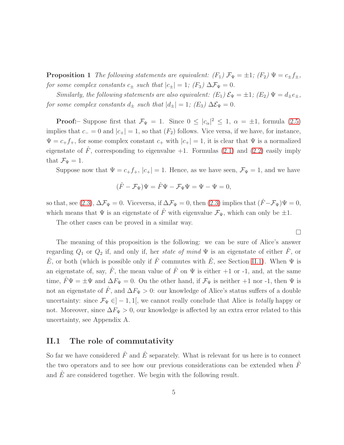**Proposition 1** The following statements are equivalent:  $(F_1)$   $\mathcal{F}_{\Psi} = \pm 1$ ;  $(F_2)$   $\Psi = c_{\pm} f_{\pm}$ , for some complex constants  $c_{\pm}$  such that  $|c_{\pm}| = 1$ ;  $(F_3) \Delta \mathcal{F}_{\Psi} = 0$ .

Similarly, the following statements are also equivalent:  $(E_1) \mathcal{E}_{\Psi} = \pm 1$ ;  $(E_2) \Psi = d_{\pm}e_{\pm}$ , for some complex constants  $d_{\pm}$  such that  $|d_{\pm}| = 1$ ;  $(E_3) \Delta \mathcal{E}_{\Psi} = 0$ .

**Proof:**- Suppose first that  $\mathcal{F}_{\Psi} = 1$ . Since  $0 \leq |c_{\alpha}|^2 \leq 1$ ,  $\alpha = \pm 1$ , formula [\(2.5\)](#page-3-1) implies that  $c_ = 0$  and  $|c_+| = 1$ , so that  $(F_2)$  follows. Vice versa, if we have, for instance,  $\Psi = c_+ f_+$ , for some complex constant  $c_+$  with  $|c_+| = 1$ , it is clear that  $\Psi$  is a normalized eigenstate of  $\hat{F}$ , corresponding to eigenvalue +1. Formulas [\(2.1\)](#page-2-0) and [\(2.2\)](#page-3-2) easily imply that  $\mathcal{F}_{\Psi} = 1$ .

Suppose now that  $\Psi = c_+ f_+$ ,  $|c_+| = 1$ . Hence, as we have seen,  $\mathcal{F}_{\Psi} = 1$ , and we have

$$
(\hat{F} - \mathcal{F}_{\Psi})\Psi = \hat{F}\Psi - \mathcal{F}_{\Psi}\Psi = \Psi - \Psi = 0,
$$

so that, see [\(2.3\)](#page-3-3),  $\Delta \mathcal{F}_{\Psi} = 0$ . Viceversa, if  $\Delta \mathcal{F}_{\Psi} = 0$ , then (2.3) implies that  $(\hat{F} - \mathcal{F}_{\Psi}) \Psi = 0$ , which means that  $\Psi$  is an eigenstate of  $\hat{F}$  with eigenvalue  $\mathcal{F}_{\Psi}$ , which can only be  $\pm 1$ .

The other cases can be proved in a similar way.

 $\Box$ 

The meaning of this proposition is the following: we can be sure of Alice's answer regarding  $Q_1$  or  $Q_2$  if, and only if, her state of mind  $\Psi$  is an eigenstate of either  $\hat{F}$ , or  $\hat{E}$ , or both (which is possible only if  $\hat{F}$  commutes with  $\hat{E}$ , see Section [II.1\)](#page-4-0). When  $\Psi$  is an eigenstate of, say,  $\hat{F}$ , the mean value of  $\hat{F}$  on  $\Psi$  is either +1 or -1, and, at the same time,  $\hat{F}\Psi = \pm \Psi$  and  $\Delta F_{\Psi} = 0$ . On the other hand, if  $\mathcal{F}_{\Psi}$  is neither +1 nor -1, then  $\Psi$  is not an eigenstate of  $\hat{F}$ , and  $\Delta F_{\Psi} > 0$ : our knowledge of Alice's status suffers of a double uncertainty: since  $\mathcal{F}_{\Psi} \in ]-1,1[$ , we cannot really conclude that Alice is *totally* happy or not. Moreover, since  $\Delta F_{\Psi} > 0$ , our knowledge is affected by an extra error related to this uncertainty, see Appendix A.

#### <span id="page-4-0"></span>II.1 The role of commutativity

<span id="page-4-1"></span>So far we have considered  $\hat{F}$  and  $\hat{E}$  separately. What is relevant for us here is to connect the two operators and to see how our previous considerations can be extended when  $\hat{F}$ and  $E$  are considered together. We begin with the following result.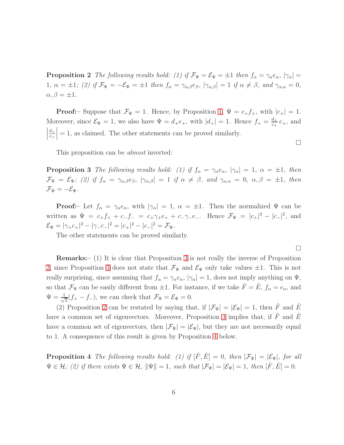**Proposition 2** The following results hold: (1) if  $\mathcal{F}_{\Psi} = \mathcal{E}_{\Psi} = \pm 1$  then  $f_{\alpha} = \gamma_{\alpha}e_{\alpha}$ ,  $|\gamma_{\alpha}| =$ 1,  $\alpha = \pm 1$ ; (2) if  $\mathcal{F}_{\Psi} = -\mathcal{E}_{\Psi} = \pm 1$  then  $f_{\alpha} = \gamma_{\alpha,\beta}e_{\beta}$ ,  $|\gamma_{\alpha,\beta}| = 1$  if  $\alpha \neq \beta$ , and  $\gamma_{\alpha,\alpha} = 0$ ,  $\alpha, \beta = \pm 1.$ 

**Proof:**– Suppose that  $\mathcal{F}_{\Psi} = 1$ . Hence, by Proposition [1,](#page-3-4)  $\Psi = c_{+}f_{+}$ , with  $|c_{+}| = 1$ . Moreover, since  $\mathcal{E}_{\Psi} = 1$ , we also have  $\Psi = d_{+}e_{+}$ , with  $|d_{+}| = 1$ . Hence  $f_{+} = \frac{d_{+}}{e_{+}}$  $\frac{a_+}{c_+}e_+$ , and  $\begin{array}{c} \begin{array}{c} \begin{array}{c} \end{array}\\ \begin{array}{c} \end{array} \end{array} \end{array}$  $d_+$  $c_+$  $= 1$ , as claimed. The other statements can be proved similarly.

<span id="page-5-0"></span>This proposition can be almost inverted:

**Proposition 3** The following results hold: (1) if  $f_{\alpha} = \gamma_{\alpha} e_{\alpha}$ ,  $|\gamma_{\alpha}| = 1$ ,  $\alpha = \pm 1$ , then  $\mathcal{F}_{\Psi} = \mathcal{E}_{\Psi}$ ; (2) if  $f_{\alpha} = \gamma_{\alpha,\beta}e_{\beta}$ ,  $|\gamma_{\alpha,\beta}| = 1$  if  $\alpha \neq \beta$ , and  $\gamma_{\alpha,\alpha} = 0$ ,  $\alpha, \beta = \pm 1$ , then  $\mathcal{F}_{\Psi} = -\mathcal{E}_{\Psi}.$ 

**Proof:**- Let  $f_{\alpha} = \gamma_{\alpha} e_{\alpha}$ , with  $|\gamma_{\alpha}| = 1$ ,  $\alpha = \pm 1$ . Then the normalized  $\Psi$  can be written as  $\Psi = c_+ f_+ + c_- f_- = c_+ \gamma_+ e_+ + c_- \gamma_- e_-$ . Hence  $\mathcal{F}_{\Psi} = |c_+|^2 - |c_-|^2$ , and  $\mathcal{E}_{\Psi} = |\gamma_+ c_+|^2 - |\gamma_- c_-|^2 = |c_+|^2 - |c_-|^2 = \mathcal{F}_{\Psi}.$ 

The other statements can be proved similarly.

Remarks:– (1) It is clear that Proposition [3](#page-5-0) is not really the inverse of Proposition [2,](#page-4-1) since Proposition [3](#page-5-0) does not state that  $\mathcal{F}_{\Psi}$  and  $\mathcal{E}_{\Psi}$  only take values  $\pm 1$ . This is not really surprising, since assuming that  $f_{\alpha} = \gamma_{\alpha} e_{\alpha}$ ,  $|\gamma_{\alpha}| = 1$ , does not imply anything on  $\Psi$ , so that  $\mathcal{F}_{\Psi}$  can be easily different from  $\pm 1$ . For instance, if we take  $\hat{F} = \hat{E}$ ,  $f_{\alpha} = e_{\alpha}$ , and  $\Psi = \frac{1}{\sqrt{2}}$  $\frac{1}{2}(f_+ - f_-)$ , we can check that  $\mathcal{F}_{\Psi} = \mathcal{E}_{\Psi} = 0$ .

(2) Proposition [2](#page-4-1) can be restated by saying that, if  $|\mathcal{F}_{\Psi}| = |\mathcal{E}_{\Psi}| = 1$ , then  $\hat{F}$  and  $\hat{E}$ have a common set of eigenvectors. Moreover, Proposition [3](#page-5-0) implies that, if  $\hat{F}$  and  $\hat{E}$ have a common set of eigenvectors, then  $|\mathcal{F}_{\Psi}| = |\mathcal{E}_{\Psi}|$ , but they are not necessarily equal to 1. A consequence of this result is given by Proposition [4](#page-5-1) below.

<span id="page-5-1"></span>**Proposition 4** The following results hold: (1) if  $[\hat{F}, \hat{E}] = 0$ , then  $|\mathcal{F}_{\Psi}| = |\mathcal{E}_{\Psi}|$ , for all  $\Psi \in \mathcal{H}$ ; (2) if there exists  $\Psi \in \mathcal{H}$ ,  $\|\Psi\| = 1$ , such that  $|\mathcal{F}_{\Psi}| = |\mathcal{E}_{\Psi}| = 1$ , then  $[\hat{F}, \hat{E}] = 0$ .

 $\Box$ 

 $\Box$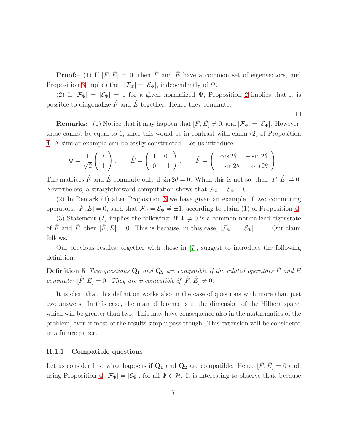**Proof:**- (1) If  $[\hat{F}, \hat{E}] = 0$ , then  $\hat{F}$  and  $\hat{E}$  have a common set of eigenvectors, and Proposition [3](#page-5-0) implies that  $|\mathcal{F}_{\Psi}| = |\mathcal{E}_{\Psi}|$ , independently of  $\Psi$ .

(2) If  $|\mathcal{F}_{\Psi}| = |\mathcal{E}_{\Psi}| = 1$  for a given normalized  $\Psi$ , Proposition [2](#page-4-1) implies that it is possible to diagonalize  $\hat{F}$  and  $\hat{E}$  together. Hence they commute.

 $\Box$ 

**Remarks:**– (1) Notice that it may happen that  $[\hat{F}, \hat{E}] \neq 0$ , and  $|\mathcal{F}_{\Psi}| = |\mathcal{E}_{\Psi}|$ . However, these cannot be equal to 1, since this would be in contrast with claim (2) of Proposition [4.](#page-5-1) A similar example can be easily constructed. Let us introduce

$$
\Psi = \frac{1}{\sqrt{2}} \begin{pmatrix} i \\ 1 \end{pmatrix}, \qquad \hat{E} = \begin{pmatrix} 1 & 0 \\ 0 & -1 \end{pmatrix}, \qquad \hat{F} = \begin{pmatrix} \cos 2\theta & -\sin 2\theta \\ -\sin 2\theta & -\cos 2\theta \end{pmatrix}.
$$

The matrices  $\hat{F}$  and  $\hat{E}$  commute only if  $\sin 2\theta = 0$ . When this is not so, then  $[\hat{F}, \hat{E}] \neq 0$ . Nevertheless, a straightforward computation shows that  $\mathcal{F}_{\Psi} = \mathcal{E}_{\Psi} = 0$ .

(2) In Remark (1) after Proposition [3](#page-5-0) we have given an example of two commuting operators,  $[\hat{F}, \hat{E}] = 0$ , such that  $\mathcal{F}_{\Psi} = \mathcal{E}_{\Psi} \neq \pm 1$ , according to claim (1) of Proposition [4.](#page-5-1)

(3) Statement (2) implies the following: if  $\Psi \neq 0$  is a common normalized eigenstate of  $\hat{F}$  and  $\hat{E}$ , then  $[\hat{F}, \hat{E}] = 0$ . This is because, in this case,  $|\mathcal{F}_{\Psi}| = |\mathcal{E}_{\Psi}| = 1$ . Our claim follows.

Our previous results, together with those in [\[7\]](#page-21-1), suggest to introduce the following definition.

**Definition 5** Two questions  $Q_1$  and  $Q_2$  are compatible if the related operators  $\hat{F}$  and  $\hat{E}$ commute:  $[\hat{F}, \hat{E}] = 0$ . They are incompatible if  $[\hat{F}, \hat{E}] \neq 0$ .

It is clear that this definition works also in the case of questions with more than just two answers. In this case, the main difference is in the dimension of the Hilbert space, which will be greater than two. This may have consequence also in the mathematics of the problem, even if most of the results simply pass trough. This extension will be considered in a future paper.

#### II.1.1 Compatible questions

Let us consider first what happens if  $\mathbf{Q}_1$  and  $\mathbf{Q}_2$  are compatible. Hence  $[\hat{F}, \hat{E}] = 0$  and, using Proposition [4,](#page-5-1)  $|\mathcal{F}_{\Psi}| = |\mathcal{E}_{\Psi}|$ , for all  $\Psi \in \mathcal{H}$ . It is interesting to observe that, because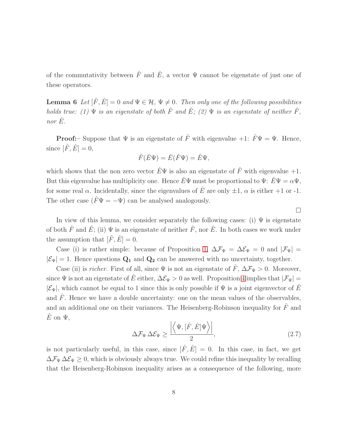of the commutativity between  $\hat{F}$  and  $\hat{E}$ , a vector  $\Psi$  cannot be eigenstate of just one of these operators.

**Lemma 6** Let  $[\hat{F}, \hat{E}] = 0$  and  $\Psi \in \mathcal{H}, \Psi \neq 0$ . Then only one of the following possibilities holds true: (1)  $\Psi$  is an eigenstate of both  $\hat{F}$  and  $\hat{E}$ ; (2)  $\Psi$  is an eigenstate of neither  $\hat{F}$ , nor  $\hat{E}$ .

**Proof:**– Suppose that  $\Psi$  is an eigenstate of  $\hat{F}$  with eigenvalue +1:  $\hat{F}\Psi = \Psi$ . Hence, since  $[\hat{F}, \hat{E}] = 0$ ,

$$
\hat{F}(\hat{E}\Psi) = \hat{E}(\hat{F}\Psi) = \hat{E}\Psi,
$$

which shows that the non zero vector  $\hat{E}\Psi$  is also an eigenstate of  $\hat{F}$  with eigenvalue +1. But this eigenvalue has multiplicity one. Hence  $\hat{E}\Psi$  must be proportional to  $\Psi: \hat{E}\Psi = \alpha \Psi$ , for some real  $\alpha$ . Incidentally, since the eigenvalues of  $\hat{E}$  are only  $\pm 1$ ,  $\alpha$  is either  $+1$  or -1. The other case  $(\hat{F}\Psi = -\Psi)$  can be analysed analogously.

In view of this lemma, we consider separately the following cases: (i)  $\Psi$  is eigenstate of both  $\hat{F}$  and  $\hat{E}$ ; (ii)  $\Psi$  is an eigenstate of neither  $\hat{F}$ , nor  $\hat{E}$ . In both cases we work under the assumption that  $[\hat{F}, \hat{E}] = 0$ .

Case (i) is rather simple: because of Proposition [1,](#page-3-4)  $\Delta \mathcal{F}_{\Psi} = \Delta \mathcal{E}_{\Psi} = 0$  and  $|\mathcal{F}_{\Psi}| =$  $|\mathcal{E}_{\Psi}| = 1$ . Hence questions  $Q_1$  and  $Q_2$  can be answered with no uncertainty, together.

Case (ii) is *richer*. First of all, since  $\Psi$  is not an eigenstate of  $\hat{F}$ ,  $\Delta \mathcal{F}_{\Psi} > 0$ . Moreover, since  $\Psi$  is not an eigenstate of  $\hat{E}$  either,  $\Delta \mathcal{E}_{\Psi} > 0$  as well. Proposition [4](#page-5-1) implies that  $|\mathcal{F}_{\Psi}|$  =  $|\mathcal{E}_{\Psi}|$ , which cannot be equal to 1 since this is only possible if  $\Psi$  is a joint eigenvector of  $\hat{E}$ and  $\hat{F}$ . Hence we have a double uncertainty: one on the mean values of the observables, and an additional one on their variances. The Heisenberg-Robinson inequality for  $\hat{F}$  and  $\hat{E}$  on  $\Psi$ ,

<span id="page-7-0"></span>
$$
\Delta \mathcal{F}_{\Psi} \,\Delta \mathcal{E}_{\Psi} \ge \frac{\left| \left\langle \Psi, [\hat{F}, \hat{E}] \Psi \right\rangle \right|}{2},\tag{2.7}
$$

 $\Box$ 

is not particularly useful, in this case, since  $[\hat{F}, \hat{E}] = 0$ . In this case, in fact, we get  $\Delta\mathcal{F}_{\Psi}\Delta\mathcal{E}_{\Psi}\geq 0$ , which is obviously always true. We could refine this inequality by recalling that the Heisenberg-Robinson inequality arises as a consequence of the following, more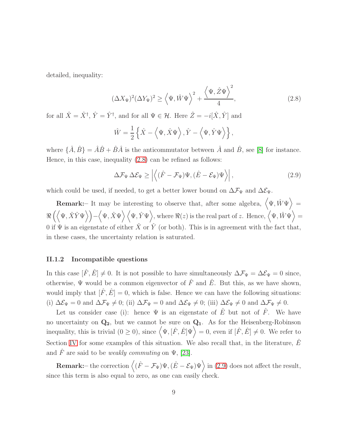detailed, inequality:

<span id="page-8-0"></span>
$$
(\Delta X_{\Psi})^2 (\Delta Y_{\Psi})^2 \ge \left\langle \Psi, \hat{W} \Psi \right\rangle^2 + \frac{\left\langle \Psi, \hat{Z} \Psi \right\rangle^2}{4},\tag{2.8}
$$

for all  $\hat{X} = \hat{X}^{\dagger}$ ,  $\hat{Y} = \hat{Y}^{\dagger}$ , and for all  $\Psi \in \mathcal{H}$ . Here  $\hat{Z} = -i[\hat{X}, \hat{Y}]$  and

$$
\hat{W} = \frac{1}{2} \left\{ \hat{X} - \left\langle \Psi, \hat{X} \Psi \right\rangle, \hat{Y} - \left\langle \Psi, \hat{Y} \Psi \right\rangle \right\},\
$$

where  $\{\hat{A}, \hat{B}\} = \hat{A}\hat{B} + \hat{B}\hat{A}$  is the anticommutator between  $\hat{A}$  and  $\hat{B}$ , see [\[8\]](#page-21-3) for instance. Hence, in this case, inequality [\(2.8\)](#page-8-0) can be refined as follows:

<span id="page-8-1"></span>
$$
\Delta \mathcal{F}_{\Psi} \,\Delta \mathcal{E}_{\Psi} \ge \left| \left\langle (\hat{F} - \mathcal{F}_{\Psi}) \Psi, (\hat{E} - \mathcal{E}_{\Psi}) \Psi \right\rangle \right|, \tag{2.9}
$$

which could be used, if needed, to get a better lower bound on  $\Delta \mathcal{F}_{\Psi}$  and  $\Delta \mathcal{E}_{\Psi}$ .

**Remark:** It may be interesting to observe that, after some algebra,  $(\Psi, \hat{W}\Psi)$  =  $\Re\left(\left\langle \Psi,\hat{X}\hat{Y}\Psi\right\rangle \right)-\left\langle \Psi,\hat{X}\Psi\right\rangle \left\langle \Psi,\hat{Y}\Psi\right\rangle ,\text{where }\Re(z)\text{ is the real part of }z.\text{ Hence, }\left\langle \Psi,\hat{W}\Psi\right\rangle =0.$ 0 if  $\Psi$  is an eigenstate of either  $\overline{X}$  or  $\overline{Y}$  (or both). This is in agreement with the fact that, in these cases, the uncertainty relation is saturated.

#### <span id="page-8-2"></span>II.1.2 Incompatible questions

In this case  $[\hat{F}, \hat{E}] \neq 0$ . It is not possible to have simultaneously  $\Delta \mathcal{F}_{\Psi} = \Delta \mathcal{E}_{\Psi} = 0$  since, otherwise,  $\Psi$  would be a common eigenvector of  $\hat{F}$  and  $\hat{E}$ . But this, as we have shown, would imply that  $[\hat{F}, \hat{E}] = 0$ , which is false. Hence we can have the following situations: (i)  $\Delta \mathcal{E}_{\Psi} = 0$  and  $\Delta \mathcal{F}_{\Psi} \neq 0$ ; (ii)  $\Delta \mathcal{F}_{\Psi} = 0$  and  $\Delta \mathcal{E}_{\Psi} \neq 0$ ; (iii)  $\Delta \mathcal{E}_{\Psi} \neq 0$  and  $\Delta \mathcal{F}_{\Psi} \neq 0$ .

Let us consider case (i): hence  $\Psi$  is an eigenstate of  $\hat{E}$  but not of  $\hat{F}$ . We have no uncertainty on  $Q_2$ , but we cannot be sure on  $Q_1$ . As for the Heisenberg-Robinson inequality, this is trivial  $(0 \ge 0)$ , since  $\langle \Psi, [\hat{F}, \hat{E}] \Psi \rangle = 0$ , even if  $[\hat{F}, \hat{E}] \ne 0$ . We refer to Section [IV](#page-14-0) for some examples of this situation. We also recall that, in the literature,  $\hat{E}$ and F are said to be *weakly commuting* on  $\Psi$ , [\[23\]](#page-22-10).

**Remark:** – the correction  $\langle (\hat{F} - \mathcal{F}_{\Psi}) \Psi, (\hat{E} - \mathcal{E}_{\Psi}) \Psi \rangle$  in [\(2.9\)](#page-8-1) does not affect the result, since this term is also equal to zero, as one can easily check.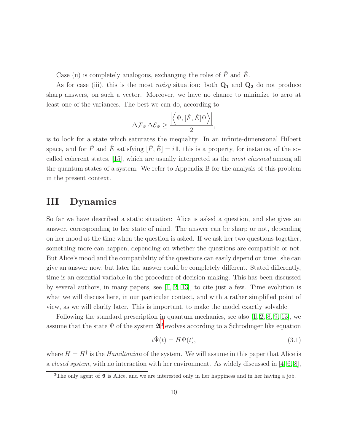Case (ii) is completely analogous, exchanging the roles of  $\hat{F}$  and  $\hat{E}$ .

As for case (iii), this is the most noisy situation: both  $Q_1$  and  $Q_2$  do not produce sharp answers, on such a vector. Moreover, we have no chance to minimize to zero at least one of the variances. The best we can do, according to

$$
\Delta \mathcal{F}_{\Psi} \, \Delta \mathcal{E}_{\Psi} \geq \frac{\left| \left\langle \Psi , [\hat{F}, \hat{E}] \Psi \right\rangle \right|}{2},
$$

is to look for a state which saturates the inequality. In an infinite-dimensional Hilbert space, and for  $\hat{F}$  and  $\hat{E}$  satisfying  $[\hat{F}, \hat{E}] = i\mathbb{1}$ , this is a property, for instance, of the socalled coherent states, [\[15\]](#page-22-11), which are usually interpreted as the most classical among all the quantum states of a system. We refer to Appendix B for the analysis of this problem in the present context.

# <span id="page-9-0"></span>III Dynamics

So far we have described a static situation: Alice is asked a question, and she gives an answer, corresponding to her state of mind. The answer can be sharp or not, depending on her mood at the time when the question is asked. If we ask her two questions together, something more can happen, depending on whether the questions are compatible or not. But Alice's mood and the compatibility of the questions can easily depend on time: she can give an answer now, but later the answer could be completely different. Stated differently, time is an essential variable in the procedure of decision making. This has been discussed by several authors, in many papers, see [\[1,](#page-21-4) [2,](#page-21-5) [13\]](#page-22-12), to cite just a few. Time evolution is what we will discuss here, in our particular context, and with a rather simplified point of view, as we will clarify later. This is important, to make the model exactly solvable.

Following the standard prescription in quantum mechanics, see also [\[1,](#page-21-4) [2,](#page-21-5) [8,](#page-21-3) [9,](#page-21-6) [13\]](#page-22-12), we assume that the state  $\Psi$  of the system  $\mathfrak{A}^3$  $\mathfrak{A}^3$  evolves according to a Schrödinger like equation

<span id="page-9-2"></span>
$$
i\dot{\Psi}(t) = H\Psi(t),\tag{3.1}
$$

where  $H = H^{\dagger}$  is the *Hamiltonian* of the system. We will assume in this paper that Alice is a closed system, with no interaction with her environment. As widely discussed in [\[4,](#page-21-7) [6,](#page-21-8) [8\]](#page-21-3),

<span id="page-9-1"></span><sup>&</sup>lt;sup>3</sup>The only agent of  $\mathfrak A$  is Alice, and we are interested only in her happiness and in her having a job.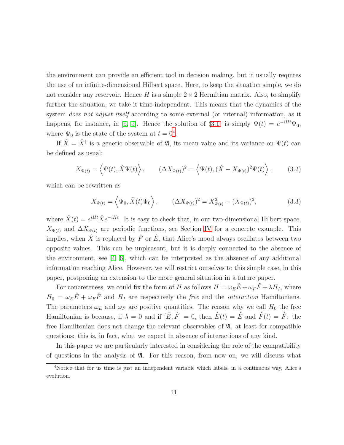the environment can provide an efficient tool in decision making, but it usually requires the use of an infinite-dimensional Hilbert space. Here, to keep the situation simple, we do not consider any reservoir. Hence H is a simple  $2 \times 2$  Hermitian matrix. Also, to simplify further the situation, we take it time-independent. This means that the dynamics of the system *does not adjust itself* according to some external (or internal) information, as it happens, for instance, in [\[5,](#page-21-9) [9\]](#page-21-6). Hence the solution of [\(3.1\)](#page-9-2) is simply  $\Psi(t) = e^{-iHt}\Psi_0$ , where  $\Psi_0$  is the state of the system at  $t = 0^4$  $t = 0^4$ .

If  $\hat{X} = \hat{X}^{\dagger}$  is a generic observable of  $\mathfrak{A}$ , its mean value and its variance on  $\Psi(t)$  can be defined as usual:

$$
X_{\Psi(t)} = \left\langle \Psi(t), \hat{X}\Psi(t) \right\rangle, \qquad (\Delta X_{\Psi(t)})^2 = \left\langle \Psi(t), (\hat{X} - X_{\Psi(t)})^2 \Psi(t) \right\rangle, \qquad (3.2)
$$

which can be rewritten as

<span id="page-10-1"></span>
$$
X_{\Psi(t)} = \left\langle \Psi_0, \hat{X}(t)\Psi_0 \right\rangle, \qquad (\Delta X_{\Psi(t)})^2 = X_{\Psi(t)}^2 - (X_{\Psi(t)})^2, \tag{3.3}
$$

where  $\hat{X}(t) = e^{iHt}\hat{X}e^{-iHt}$ . It is easy to check that, in our two-dimensional Hilbert space,  $X_{\Psi(t)}$  and  $\Delta X_{\Psi(t)}$  are periodic functions, see Section [IV](#page-14-0) for a concrete example. This implies, when  $\hat{X}$  is replaced by  $\hat{F}$  or  $\hat{E}$ , that Alice's mood always oscillates between two opposite values. This can be unpleasant, but it is deeply connected to the absence of the environment, see  $[4, 6]$  $[4, 6]$ , which can be interpreted as the absence of any additional information reaching Alice. However, we will restrict ourselves to this simple case, in this paper, postponing an extension to the more general situation in a future paper.

For concreteness, we could fix the form of H as follows  $H = \omega_E \hat{E} + \omega_F \hat{F} + \lambda H_I$ , where  $H_0 = \omega_E \hat{E} + \omega_F \hat{F}$  and  $H_I$  are respectively the free and the *interaction* Hamiltonians. The parameters  $\omega_E$  and  $\omega_F$  are positive quantities. The reason why we call  $H_0$  the free Hamiltonian is because, if  $\lambda = 0$  and if  $[\hat{E}, \hat{F}] = 0$ , then  $\hat{E}(t) = \hat{E}$  and  $\hat{F}(t) = \hat{F}$ : the free Hamiltonian does not change the relevant observables of  $\mathfrak{A}$ , at least for compatible questions: this is, in fact, what we expect in absence of interactions of any kind.

In this paper we are particularly interested in considering the role of the compatibility of questions in the analysis of  $\mathfrak{A}$ . For this reason, from now on, we will discuss what

<span id="page-10-0"></span><sup>4</sup>Notice that for us time is just an independent variable which labels, in a continuous way, Alice's evolution.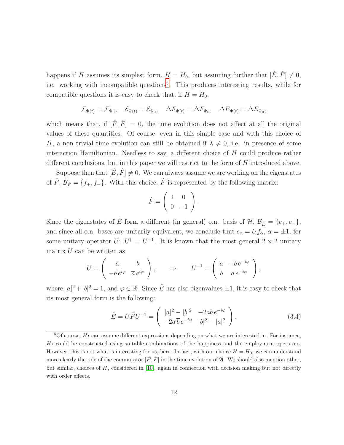happens if H assumes its simplest form,  $H = H_0$ , but assuming further that  $[\hat{E}, \hat{F}] \neq 0$ , i.e. working with incompatible questions<sup>[5](#page-11-0)</sup>. This produces interesting results, while for compatible questions it is easy to check that, if  $H = H_0$ ,

$$
\mathcal{F}_{\Psi(t)} = \mathcal{F}_{\Psi_0}, \quad \mathcal{E}_{\Psi(t)} = \mathcal{E}_{\Psi_0}, \quad \Delta F_{\Psi(t)} = \Delta F_{\Psi_0}, \quad \Delta E_{\Psi(t)} = \Delta E_{\Psi_0},
$$

which means that, if  $[\hat{F}, \hat{E}] = 0$ , the time evolution does not affect at all the original values of these quantities. Of course, even in this simple case and with this choice of H, a non trivial time evolution can still be obtained if  $\lambda \neq 0$ , i.e. in presence of some interaction Hamiltonian. Needless to say, a different choice of  $H$  could produce rather different conclusions, but in this paper we will restrict to the form of H introduced above.

Suppose then that  $[\hat{E}, \hat{F}] \neq 0$ . We can always assume we are working on the eigenstates of  $\hat{F}$ ,  $\mathcal{B}_{\hat{F}} = \{f_+, f_-\}$ . With this choice,  $\hat{F}$  is represented by the following matrix:

$$
\hat{F} = \left(\begin{array}{cc} 1 & 0 \\ 0 & -1 \end{array}\right).
$$

Since the eigenstates of  $\hat{E}$  form a different (in general) o.n. basis of  $\mathcal{H}, \mathcal{B}_{\hat{E}} = \{e_+, e_-\}$ , and since all o.n. bases are unitarily equivalent, we conclude that  $e_{\alpha} = U f_{\alpha}, \ \alpha = \pm 1$ , for some unitary operator  $U: U^{\dagger} = U^{-1}$ . It is known that the most general  $2 \times 2$  unitary matrix  $U$  can be written as

$$
U = \begin{pmatrix} a & b \\ -\overline{b}e^{i\varphi} & \overline{a}e^{i\varphi} \end{pmatrix}, \qquad \Rightarrow \qquad U^{-1} = \begin{pmatrix} \overline{a} & -be^{-i\varphi} \\ \overline{b} & a e^{-i\varphi} \end{pmatrix},
$$

where  $|a|^2 + |b|^2 = 1$ , and  $\varphi \in \mathbb{R}$ . Since  $\hat{E}$  has also eigenvalues  $\pm 1$ , it is easy to check that its most general form is the following:

$$
\hat{E} = U\hat{F}U^{-1} = \begin{pmatrix} |a|^2 - |b|^2 & -2ab e^{-i\varphi} \\ -2\overline{a} \,\overline{b} \, e^{-i\varphi} & |b|^2 - |a|^2 \end{pmatrix}.
$$
\n(3.4)

<span id="page-11-0"></span> ${}^{5}$ Of course,  $H_I$  can assume different expressions depending on what we are interested in. For instance,  $H<sub>I</sub>$  could be constructed using suitable combinations of the happiness and the employment operators. However, this is not what is interesting for us, here. In fact, with our choice  $H = H_0$ , we can understand more clearly the role of the commutator  $[\hat{E}, \hat{F}]$  in the time evolution of  $\mathfrak{A}$ . We should also mention other, but similar, choices of  $H$ , considered in [\[10\]](#page-21-10), again in connection with decision making but not directly with order effects.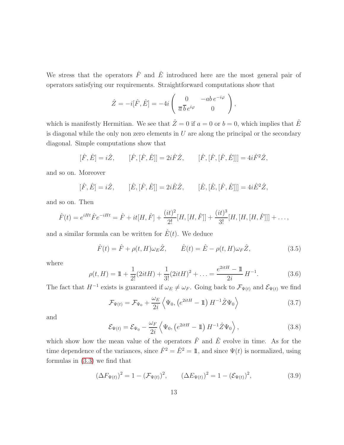We stress that the operators  $\hat{F}$  and  $\hat{E}$  introduced here are the most general pair of operators satisfying our requirements. Straightforward computations show that

$$
\hat{Z} = -i[\hat{F}, \hat{E}] = -4i \begin{pmatrix} 0 & -ab e^{-i\varphi} \\ \overline{a} \, \overline{b} \, e^{i\varphi} & 0 \end{pmatrix},
$$

which is manifestly Hermitian. We see that  $\hat{Z}=0$  if  $a=0$  or  $b=0$ , which implies that  $\hat{E}$ is diagonal while the only non zero elements in  $U$  are along the principal or the secondary diagonal. Simple computations show that

$$
[\hat{F}, \hat{E}] = i\hat{Z}, \qquad [\hat{F}, [\hat{F}, \hat{E}]] = 2i\hat{F}\hat{Z}, \qquad [\hat{F}, [\hat{F}, [\hat{F}, \hat{E}]]] = 4i\hat{F}^2\hat{Z},
$$

and so on. Moreover

$$
[\hat{F}, \hat{E}] = i\hat{Z}, \qquad [\hat{E}, [\hat{F}, \hat{E}]] = 2i\hat{E}\hat{Z}, \qquad [\hat{E}, [\hat{E}, [\hat{F}, \hat{E}]]] = 4i\hat{E}^2\hat{Z},
$$

and so on. Then

$$
\hat{F}(t) = e^{iHt}\hat{F}e^{-iHt} = \hat{F} + it[H, \hat{F}] + \frac{(it)^2}{2!}[H, [H, \hat{F}]] + \frac{(it)^3}{3!}[H, [H, [\hat{F}]]] + ...,
$$

and a similar formula can be written for  $\hat{E}(t)$ . We deduce

<span id="page-12-3"></span>
$$
\hat{F}(t) = \hat{F} + \rho(t, H)\omega_E \hat{Z}, \qquad \hat{E}(t) = \hat{E} - \rho(t, H)\omega_F \hat{Z}, \qquad (3.5)
$$

where

$$
\rho(t, H) = 1 + \frac{1}{2!} (2itH) + \frac{1}{3!} (2itH)^2 + \dots = \frac{e^{2itH} - 1}{2i} H^{-1}.
$$
 (3.6)

The fact that  $H^{-1}$  exists is guaranteed if  $\omega_E \neq \omega_F$ . Going back to  $\mathcal{F}_{\Psi(t)}$  and  $\mathcal{E}_{\Psi(t)}$  we find

<span id="page-12-0"></span>
$$
\mathcal{F}_{\Psi(t)} = \mathcal{F}_{\Psi_0} + \frac{\omega_E}{2i} \left\langle \Psi_0, \left( e^{2itH} - \mathbb{1} \right) H^{-1} \hat{Z} \Psi_0 \right\rangle \tag{3.7}
$$

and

<span id="page-12-1"></span>
$$
\mathcal{E}_{\Psi(t)} = \mathcal{E}_{\Psi_0} - \frac{\omega_F}{2i} \left\langle \Psi_0, \left( e^{2itH} - \mathbb{1} \right) H^{-1} \hat{Z} \Psi_0 \right\rangle, \tag{3.8}
$$

which show how the mean value of the operators  $\hat{F}$  and  $\hat{E}$  evolve in time. As for the time dependence of the variances, since  $\hat{F}^2 = \hat{E}^2 = \mathbb{1}$ , and since  $\Psi(t)$  is normalized, using formulas in [\(3.3\)](#page-10-1) we find that

<span id="page-12-2"></span>
$$
(\Delta F_{\Psi(t)})^2 = 1 - (\mathcal{F}_{\Psi(t)})^2, \qquad (\Delta E_{\Psi(t)})^2 = 1 - (\mathcal{E}_{\Psi(t)})^2, \qquad (3.9)
$$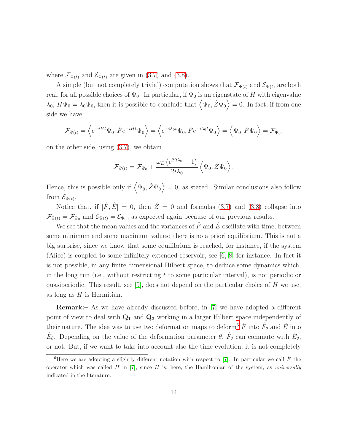where  $\mathcal{F}_{\Psi(t)}$  and  $\mathcal{E}_{\Psi(t)}$  are given in [\(3.7\)](#page-12-0) and [\(3.8\)](#page-12-1).

A simple (but not completely trivial) computation shows that  $\mathcal{F}_{\Psi(t)}$  and  $\mathcal{E}_{\Psi(t)}$  are both real, for all possible choices of  $\Psi_0$ . In particular, if  $\Psi_0$  is an eigenstate of H with eigenvalue  $\lambda_0$ ,  $H\Psi_0 = \lambda_0 \Psi_0$ , then it is possible to conclude that  $\langle \Psi_0, \hat{Z} \Psi_0 \rangle = 0$ . In fact, if from one side we have

$$
\mathcal{F}_{\Psi(t)} = \left\langle e^{-iHt}\Psi_0, \hat{F}e^{-iHt}\Psi_0 \right\rangle = \left\langle e^{-i\lambda_0 t}\Psi_0, \hat{F}e^{-i\lambda_0 t}\Psi_0 \right\rangle = \left\langle \Psi_0, \hat{F}\Psi_0 \right\rangle = \mathcal{F}_{\Psi_0},
$$

on the other side, using [\(3.7\)](#page-12-0), we obtain

$$
\mathcal{F}_{\Psi(t)} = \mathcal{F}_{\Psi_0} + \frac{\omega_E \left( e^{2it\lambda_0} - 1 \right)}{2i\lambda_0} \left\langle \Psi_0, \hat{Z} \Psi_0 \right\rangle.
$$

Hence, this is possible only if  $\langle \Psi_0, \hat{Z} \Psi_0 \rangle = 0$ , as stated. Similar conclusions also follow from  $\mathcal{E}_{\Psi(t)}$ .

Notice that, if  $[\hat{F}, \hat{E}] = 0$ , then  $\hat{Z} = 0$  and formulas [\(3.7\)](#page-12-0) and [\(3.8\)](#page-12-1) collapse into  $\mathcal{F}_{\Psi(t)} = \mathcal{F}_{\Psi_0}$  and  $\mathcal{E}_{\Psi(t)} = \mathcal{E}_{\Psi_0}$ , as expected again because of our previous results.

We see that the mean values and the variances of  $\hat{F}$  and  $\hat{E}$  oscillate with time, between some minimum and some maximum values: there is no a priori equilibrium. This is not a big surprise, since we know that some equilibrium is reached, for instance, if the system (Alice) is coupled to some infinitely extended reservoir, see [\[6,](#page-21-8) [8\]](#page-21-3) for instance. In fact it is not possible, in any finite dimensional Hilbert space, to deduce some dynamics which, in the long run (i.e., without restricting  $t$  to some particular interval), is not periodic or quasiperiodic. This result, see [\[9\]](#page-21-6), does not depend on the particular choice of H we use, as long as  $H$  is Hermitian.

Remark:– As we have already discussed before, in [\[7\]](#page-21-1) we have adopted a different point of view to deal with  $Q_1$  and  $Q_2$  working in a larger Hilbert space independently of their nature. The idea was to use two deformation maps to deform<sup>[6](#page-13-0)</sup>  $\hat{F}$  into  $\hat{F}_{\theta}$  and  $\hat{E}$  into  $\hat{E}_{\theta}$ . Depending on the value of the deformation parameter  $\theta$ ,  $\hat{F}_{\theta}$  can commute with  $\hat{E}_{\theta}$ , or not. But, if we want to take into account also the time evolution, it is not completely

<span id="page-13-0"></span><sup>&</sup>lt;sup>6</sup>Here we are adopting a slightly different notation with respect to [\[7\]](#page-21-1). In particular we call  $\hat{F}$  the operator which was called  $H$  in [\[7\]](#page-21-1), since  $H$  is, here, the Hamiltonian of the system, as universally indicated in the literature.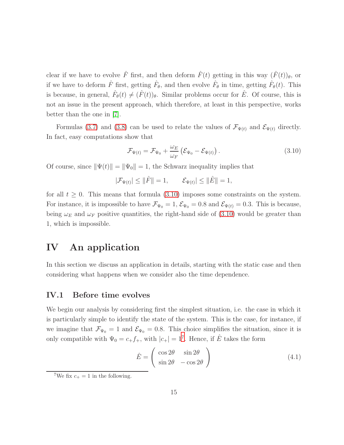clear if we have to evolve  $\hat{F}$  first, and then deform  $\hat{F}(t)$  getting in this way  $(\hat{F}(t))_{\theta}$ , or if we have to deform  $\hat{F}$  first, getting  $\hat{F}_{\theta}$ , and then evolve  $\hat{F}_{\theta}$  in time, getting  $\hat{F}_{\theta}(t)$ . This is because, in general,  $\hat{F}_{\theta}(t) \neq (\hat{F}(t))_{\theta}$ . Similar problems occur for  $\hat{E}$ . Of course, this is not an issue in the present approach, which therefore, at least in this perspective, works better than the one in [\[7\]](#page-21-1).

Formulas [\(3.7\)](#page-12-0) and [\(3.8\)](#page-12-1) can be used to relate the values of  $\mathcal{F}_{\Psi(t)}$  and  $\mathcal{E}_{\Psi(t)}$  directly. In fact, easy computations show that

<span id="page-14-1"></span>
$$
\mathcal{F}_{\Psi(t)} = \mathcal{F}_{\Psi_0} + \frac{\omega_E}{\omega_F} \left( \mathcal{E}_{\Psi_0} - \mathcal{E}_{\Psi(t)} \right). \tag{3.10}
$$

Of course, since  $\|\Psi(t)\| = \|\Psi_0\| = 1$ , the Schwarz inequality implies that

 $|\mathcal{F}_{\Psi(t)}| \leq ||\hat{F}|| = 1, \qquad \mathcal{E}_{\Psi(t)}| \leq ||\hat{E}|| = 1,$ 

for all  $t \geq 0$ . This means that formula [\(3.10\)](#page-14-1) imposes some constraints on the system. For instance, it is impossible to have  $\mathcal{F}_{\Psi_0} = 1$ ,  $\mathcal{E}_{\Psi_0} = 0.8$  and  $\mathcal{E}_{\Psi(t)} = 0.3$ . This is because, being  $\omega_E$  and  $\omega_F$  positive quantities, the right-hand side of [\(3.10\)](#page-14-1) would be greater than 1, which is impossible.

# <span id="page-14-0"></span>IV An application

In this section we discuss an application in details, starting with the static case and then considering what happens when we consider also the time dependence.

#### IV.1 Before time evolves

We begin our analysis by considering first the simplest situation, i.e. the case in which it is particularly simple to identify the state of the system. This is the case, for instance, if we imagine that  $\mathcal{F}_{\Psi_0} = 1$  and  $\mathcal{E}_{\Psi_0} = 0.8$ . This choice simplifies the situation, since it is only compatible with  $\Psi_0 = c_+ f_+$ , with  $|c_+| = 1^7$  $|c_+| = 1^7$ . Hence, if  $\hat{E}$  takes the form

<span id="page-14-3"></span>
$$
\hat{E} = \begin{pmatrix} \cos 2\theta & \sin 2\theta \\ \sin 2\theta & -\cos 2\theta \end{pmatrix}
$$
 (4.1)

<span id="page-14-2"></span><sup>&</sup>lt;sup>7</sup>We fix  $c_{+} = 1$  in the following.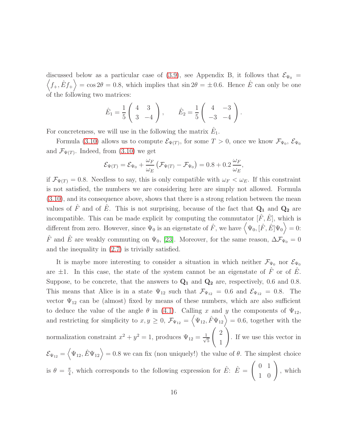$\langle f_+, \hat{E} f_+ \rangle = \cos 2\theta = 0.8$ , which implies that  $\sin 2\theta = \pm 0.6$ . Hence  $\hat{E}$  can only be one discussed below as a particular case of [\(3.9\)](#page-12-2), see Appendix B, it follows that  $\mathcal{E}_{\Psi_0} =$ of the following two matrices:

$$
\hat{E}_1 = \frac{1}{5} \begin{pmatrix} 4 & 3 \\ 3 & -4 \end{pmatrix}, \qquad \hat{E}_2 = \frac{1}{5} \begin{pmatrix} 4 & -3 \\ -3 & -4 \end{pmatrix}.
$$

For concreteness, we will use in the following the matrix  $\hat{E}_1$ .

Formula [\(3.10\)](#page-14-1) allows us to compute  $\mathcal{E}_{\Psi(T)}$ , for some  $T > 0$ , once we know  $\mathcal{F}_{\Psi_0}, \mathcal{E}_{\Psi_0}$ and  $\mathcal{F}_{\Psi(T)}$ . Indeed, from [\(3.10\)](#page-14-1) we get

$$
\mathcal{E}_{\Psi(T)} = \mathcal{E}_{\Psi_0} + \frac{\omega_F}{\omega_E} \left( \mathcal{F}_{\Psi(T)} - \mathcal{F}_{\Psi_0} \right) = 0.8 + 0.2 \frac{\omega_F}{\omega_E},
$$

if  $\mathcal{F}_{\Psi(T)} = 0.8$ . Needless to say, this is only compatible with  $\omega_F < \omega_E$ . If this constraint is not satisfied, the numbers we are considering here are simply not allowed. Formula [\(3.10\)](#page-14-1), and its consequence above, shows that there is a strong relation between the mean values of  $\hat{F}$  and of  $\hat{E}$ . This is not surprising, because of the fact that  $Q_1$  and  $Q_2$  are incompatible. This can be made explicit by computing the commutator  $[\hat{F}, \hat{E}]$ , which is different from zero. However, since  $\Psi_0$  is an eigenstate of  $\hat{F}$ , we have  $\langle \Psi_0, [\hat{F}, \hat{E}]\Psi_0 \rangle = 0$ :  $\hat{F}$  and  $\hat{E}$  are weakly commuting on  $\Psi_0$ , [\[23\]](#page-22-10). Moreover, for the same reason,  $\Delta \mathcal{F}_{\Psi_0} = 0$ and the inequality in [\(2.7\)](#page-7-0) is trivially satisfied.

It is maybe more interesting to consider a situation in which neither  $\mathcal{F}_{\Psi_0}$  nor  $\mathcal{E}_{\Psi_0}$ are  $\pm 1$ . In this case, the state of the system cannot be an eigenstate of F or of E. Suppose, to be concrete, that the answers to  $\mathbf{Q}_1$  and  $\mathbf{Q}_2$  are, respectively, 0.6 and 0.8. This means that Alice is in a state  $\Psi_{12}$  such that  $\mathcal{F}_{\Psi_{12}} = 0.6$  and  $\mathcal{E}_{\Psi_{12}} = 0.8$ . The vector  $\Psi_{12}$  can be (almost) fixed by means of these numbers, which are also sufficient to deduce the value of the angle  $\theta$  in [\(4.1\)](#page-14-3). Calling x and y the components of  $\Psi_{12}$ , and restricting for simplicity to  $x, y \ge 0$ ,  $\mathcal{F}_{\Psi_{12}} = \langle \Psi_{12}, \hat{F} \Psi_{12} \rangle = 0.6$ , together with the normalization constraint  $x^2 + y^2 = 1$ , produces  $\Psi_{12} = \frac{1}{\sqrt{2}}$ 5  $\begin{pmatrix} 2 \end{pmatrix}$ 1  $\setminus$ . If we use this vector in  $\mathcal{E}_{\Psi_{12}} = \langle \Psi_{12}, \hat{E} \Psi_{12} \rangle = 0.8$  we can fix (non uniquely!) the value of  $\theta$ . The simplest choice is  $\theta = \frac{\pi}{4}$  $\frac{\pi}{4}$ , which corresponds to the following expression for  $\hat{E}$ :  $\hat{E} =$  $\left(\begin{array}{cc} 0 & 1 \\ 1 & 0 \end{array}\right)$ , which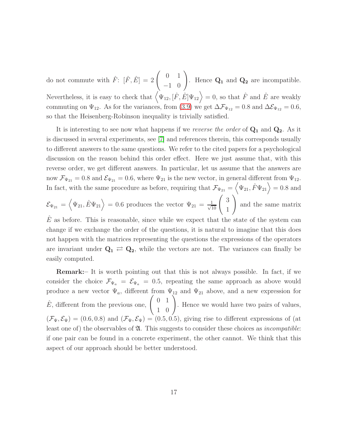do not commute with  $\hat{F}$ :  $[\hat{F}, \hat{E}] = 2\begin{pmatrix} 0 & 1 \\ -1 & 0 \end{pmatrix}$ . Hence  $Q_1$  and  $Q_2$  are incompatible. Nevertheless, it is easy to check that  $(\Psi_{12}, [\hat{F}, \hat{E}]\Psi_{12}) = 0$ , so that  $\hat{F}$  and  $\hat{E}$  are weakly commuting on  $\Psi_{12}$ . As for the variances, from [\(3.9\)](#page-12-2) we get  $\Delta \mathcal{F}_{\Psi_{12}} = 0.8$  and  $\Delta \mathcal{E}_{\Psi_{12}} = 0.6$ , so that the Heisenberg-Robinson inequality is trivially satisfied.

It is interesting to see now what happens if we reverse the order of  $Q_1$  and  $Q_2$ . As it is discussed in several experiments, see [\[7\]](#page-21-1) and references therein, this corresponds usually to different answers to the same questions. We refer to the cited papers for a psychological discussion on the reason behind this order effect. Here we just assume that, with this reverse order, we get different answers. In particular, let us assume that the answers are now  $\mathcal{F}_{\Psi_{21}} = 0.8$  and  $\mathcal{E}_{\Psi_{21}} = 0.6$ , where  $\Psi_{21}$  is the new vector, in general different from  $\Psi_{12}$ . In fact, with the same procedure as before, requiring that  $\mathcal{F}_{\Psi_{21}} = \langle \Psi_{21}, \hat{F} \Psi_{21} \rangle = 0.8$  and  $\setminus$ 

 $\mathcal{E}_{\Psi_{21}} = \left\langle \Psi_{21}, \hat{E} \Psi_{21} \right\rangle = 0.6$  produces the vector  $\Psi_{21} = \frac{1}{\sqrt{1}}$  $\frac{1}{10}$   $\begin{pmatrix} 3 \\ 1 \end{pmatrix}$ 1 and the same matrix  $E$  as before. This is reasonable, since while we expect that the state of the system can change if we exchange the order of the questions, it is natural to imagine that this does not happen with the matrices representing the questions the expressions of the operators are invariant under  $Q_1 \rightleftarrows Q_2$ , while the vectors are not. The variances can finally be easily computed.

Remark:– It is worth pointing out that this is not always possible. In fact, if we consider the choice  $\mathcal{F}_{\Psi_a} = \mathcal{E}_{\Psi_a} = 0.5$ , repeating the same approach as above would produce a new vector  $\Psi_a$ , different from  $\Psi_{12}$  and  $\Psi_{21}$  above, and a new expression for  $\hat{E}$ , different from the previous one,  $\left(\begin{array}{cc} 0 & 1\\ 1 & 0 \end{array}\right)$ . Hence we would have two pairs of values,  $(\mathcal{F}_{\Psi}, \mathcal{E}_{\Psi}) = (0.6, 0.8)$  and  $(\mathcal{F}_{\Psi}, \mathcal{E}_{\Psi}) = (0.5, 0.5)$ , giving rise to different expressions of (at least one of) the observables of  $\mathfrak{A}$ . This suggests to consider these choices as *incompatible*: if one pair can be found in a concrete experiment, the other cannot. We think that this aspect of our approach should be better understood.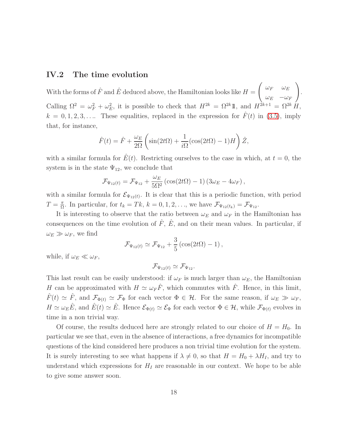#### IV.2 The time evolution

With the forms of  $\hat{F}$  and  $\hat{E}$  deduced above, the Hamiltonian looks like  $H =$  $\int \omega_F \ \ \ \omega_E$  $\omega_E$   $-\omega_F$  $\setminus$ . Calling  $\Omega^2 = \omega_F^2 + \omega_E^2$ , it is possible to check that  $H^{2k} = \Omega^{2k} \mathbb{1}$ , and  $H^{2k+1} = \Omega^{2k} H$ ,  $k = 0, 1, 2, 3, \ldots$  These equalities, replaced in the expression for  $F(t)$  in [\(3.5\)](#page-12-3), imply that, for instance,

$$
\hat{F}(t) = \hat{F} + \frac{\omega_E}{2\Omega} \left( \sin(2t\Omega) + \frac{1}{i\Omega} (\cos(2t\Omega) - 1)H \right) \hat{Z},
$$

with a similar formula for  $\hat{E}(t)$ . Restricting ourselves to the case in which, at  $t = 0$ , the system is in the state  $\Psi_{12}$ , we conclude that

$$
\mathcal{F}_{\Psi_{12}(t)} = \mathcal{F}_{\Psi_{12}} + \frac{\omega_E}{5\Omega^2} \left( \cos(2t\Omega) - 1 \right) \left( 3\omega_E - 4\omega_F \right),
$$

with a similar formula for  $\mathcal{E}_{\Psi_{12}(t)}$ . It is clear that this is a periodic function, with period  $T=\frac{\pi}{0}$  $\frac{\pi}{\Omega}$ . In particular, for  $t_k = Tk$ ,  $k = 0, 1, 2, \ldots$ , we have  $\mathcal{F}_{\Psi_{12}(t_k)} = \mathcal{F}_{\Psi_{12}}$ .

It is interesting to observe that the ratio between  $\omega_E$  and  $\omega_F$  in the Hamiltonian has consequences on the time evolution of  $\hat{F}$ ,  $\hat{E}$ , and on their mean values. In particular, if  $\omega_E \gg \omega_F$ , we find

$$
\mathcal{F}_{\Psi_{12}(t)} \simeq \mathcal{F}_{\Psi_{12}} + \frac{3}{5} \left( \cos(2t\Omega) - 1 \right),
$$

while, if  $\omega_E \ll \omega_F$ ,

 $\mathcal{F}_{\Psi_{12}(t)} \simeq \mathcal{F}_{\Psi_{12}}.$ 

This last result can be easily understood: if  $\omega_F$  is much larger than  $\omega_E$ , the Hamiltonian H can be approximated with  $H \simeq \omega_F \hat{F}$ , which commutes with  $\hat{F}$ . Hence, in this limit,  $\hat{F}(t) \simeq \hat{F}$ , and  $\mathcal{F}_{\Phi(t)} \simeq \mathcal{F}_{\Phi}$  for each vector  $\Phi \in \mathcal{H}$ . For the same reason, if  $\omega_E \gg \omega_F$ ,  $H \simeq \omega_E \hat{E}$ , and  $\hat{E}(t) \simeq \hat{E}$ . Hence  $\mathcal{E}_{\Phi(t)} \simeq \mathcal{E}_{\Phi}$  for each vector  $\Phi \in \mathcal{H}$ , while  $\mathcal{F}_{\Phi(t)}$  evolves in time in a non trivial way.

Of course, the results deduced here are strongly related to our choice of  $H = H_0$ . In particular we see that, even in the absence of interactions, a free dynamics for incompatible questions of the kind considered here produces a non trivial time evolution for the system. It is surely interesting to see what happens if  $\lambda \neq 0$ , so that  $H = H_0 + \lambda H_I$ , and try to understand which expressions for  $H_I$  are reasonable in our context. We hope to be able to give some answer soon.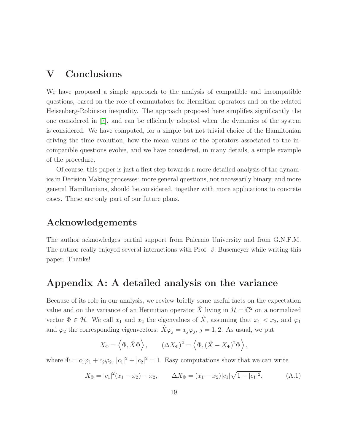# <span id="page-18-0"></span>V Conclusions

We have proposed a simple approach to the analysis of compatible and incompatible questions, based on the role of commutators for Hermitian operators and on the related Heisenberg-Robinson inequality. The approach proposed here simplifies significantly the one considered in [\[7\]](#page-21-1), and can be efficiently adopted when the dynamics of the system is considered. We have computed, for a simple but not trivial choice of the Hamiltonian driving the time evolution, how the mean values of the operators associated to the incompatible questions evolve, and we have considered, in many details, a simple example of the procedure.

Of course, this paper is just a first step towards a more detailed analysis of the dynamics in Decision Making processes: more general questions, not necessarily binary, and more general Hamiltonians, should be considered, together with more applications to concrete cases. These are only part of our future plans.

# Acknowledgements

The author acknowledges partial support from Palermo University and from G.N.F.M. The author really enjoyed several interactions with Prof. J. Busemeyer while writing this paper. Thanks!

## Appendix A: A detailed analysis on the variance

Because of its role in our analysis, we review briefly some useful facts on the expectation value and on the variance of an Hermitian operator  $\hat{X}$  living in  $\mathcal{H} = \mathbb{C}^2$  on a normalized vector  $\Phi \in \mathcal{H}$ . We call  $x_1$  and  $x_2$  the eigenvalues of  $\hat{X}$ , assuming that  $x_1 < x_2$ , and  $\varphi_1$ and  $\varphi_2$  the corresponding eigenvectors:  $\hat{X}\varphi_j = x_j\varphi_j$ ,  $j = 1, 2$ . As usual, we put

$$
X_{\Phi} = \left\langle \Phi, \hat{X} \Phi \right\rangle, \qquad (\Delta X_{\Phi})^2 = \left\langle \Phi, (\hat{X} - X_{\Phi})^2 \Phi \right\rangle,
$$

where  $\Phi = c_1 \varphi_1 + c_2 \varphi_2$ ,  $|c_1|^2 + |c_2|^2 = 1$ . Easy computations show that we can write

$$
X_{\Phi} = |c_1|^2 (x_1 - x_2) + x_2, \qquad \Delta X_{\Phi} = (x_1 - x_2)|c_1|\sqrt{1 - |c_1|^2}.
$$
 (A.1)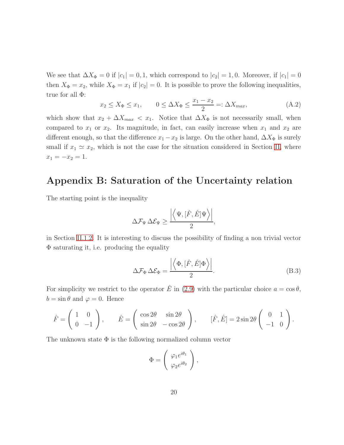We see that  $\Delta X_{\Phi} = 0$  if  $|c_1| = 0, 1$ , which correspond to  $|c_2| = 1, 0$ . Moreover, if  $|c_1| = 0$ then  $X_{\Phi} = x_2$ , while  $X_{\Phi} = x_1$  if  $|c_2| = 0$ . It is possible to prove the following inequalities, true for all  $\Phi$ :

$$
x_2 \le X_{\Phi} \le x_1, \qquad 0 \le \Delta X_{\Phi} \le \frac{x_1 - x_2}{2} =: \Delta X_{\text{max}}, \tag{A.2}
$$

which show that  $x_2 + \Delta X_{max} < x_1$ . Notice that  $\Delta X_{\Phi}$  is not necessarily small, when compared to  $x_1$  or  $x_2$ . Its magnitude, in fact, can easily increase when  $x_1$  and  $x_2$  are different enough, so that the difference  $x_1 - x_2$  is large. On the other hand,  $\Delta X_{\Phi}$  is surely small if  $x_1 \simeq x_2$ , which is not the case for the situation considered in Section [II,](#page-2-1) where  $x_1 = -x_2 = 1.$ 

# Appendix B: Saturation of the Uncertainty relation

The starting point is the inequality

$$
\Delta \mathcal{F}_\Psi \, \Delta \mathcal{E}_\Psi \geq \frac{\left|\left\langle \Psi , [\hat{F}, \hat{E}] \Psi \right\rangle \right|}{2},
$$

in Section [II.1.2.](#page-8-2) It is interesting to discuss the possibility of finding a non trivial vector Φ saturating it, i.e. producing the equality

<span id="page-19-0"></span>
$$
\Delta \mathcal{F}_{\Phi} \,\Delta \mathcal{E}_{\Phi} = \frac{\left| \left\langle \Phi, [\hat{F}, \hat{E}] \Phi \right\rangle \right|}{2}.
$$
\n(B.3)

For simplicity we restrict to the operator  $\hat{E}$  in [\(2.9\)](#page-8-1) with the particular choice  $a = \cos \theta$ ,  $b = \sin \theta$  and  $\varphi = 0$ . Hence

$$
\hat{F} = \begin{pmatrix} 1 & 0 \\ 0 & -1 \end{pmatrix}, \qquad \hat{E} = \begin{pmatrix} \cos 2\theta & \sin 2\theta \\ \sin 2\theta & -\cos 2\theta \end{pmatrix}, \qquad [\hat{F}, \hat{E}] = 2\sin 2\theta \begin{pmatrix} 0 & 1 \\ -1 & 0 \end{pmatrix}.
$$

The unknown state  $\Phi$  is the following normalized column vector

$$
\Phi = \begin{pmatrix} \varphi_1 e^{i\theta_1} \\ \varphi_2 e^{i\theta_2} \end{pmatrix},
$$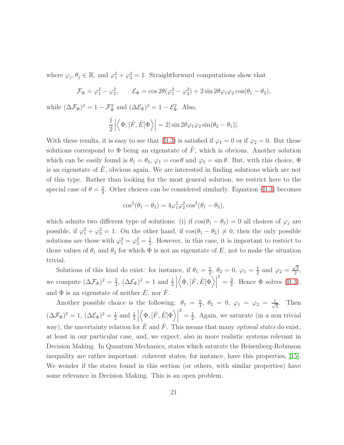where  $\varphi_j, \theta_j \in \mathbb{R}$ , and  $\varphi_1^2 + \varphi_2^2 = 1$ . Straightforward computations show that

$$
\mathcal{F}_{\Phi} = \varphi_1^2 - \varphi_2^2, \qquad \mathcal{E}_{\Phi} = \cos 2\theta (\varphi_1^2 - \varphi_2^2) + 2\sin 2\theta \varphi_1 \varphi_2 \cos(\theta_1 - \theta_2),
$$

while  $(\Delta \mathcal{F}_{\Phi})^2 = 1 - \mathcal{F}_{\Phi}^2$  and  $(\Delta \mathcal{E}_{\Phi})^2 = 1 - \mathcal{E}_{\Phi}^2$ . Also,

$$
\frac{1}{2} \left| \left\langle \Phi, [\hat{F}, \hat{E}] \Phi \right\rangle \right| = 2 |\sin 2\theta \varphi_1 \varphi_2 \sin(\theta_2 - \theta_1)|.
$$

With these results, it is easy to see that [\(B.3\)](#page-19-0) is satisfied if  $\varphi_1 = 0$  or if  $\varphi_2 = 0$ . But these solutions correspond to  $\Phi$  being an eigenstate of  $\hat{F}$ , which is obvious. Another solution which can be easily found is  $\theta_1 = \theta_2$ ,  $\varphi_1 = \cos \theta$  and  $\varphi_2 = \sin \theta$ . But, with this choice,  $\Phi$ is an eigenstate of  $\hat{E}$ , obvious again. We are interested in finding solutions which are not of this type. Rather than looking for the most general solution, we restrict here to the special case of  $\theta = \frac{\pi}{4}$  $\frac{\pi}{4}$ . Other choices can be considered similarly. Equation [\(B.3\)](#page-19-0) becomes

$$
\cos^{2}(\theta_{1} - \theta_{2}) = 4\varphi_{1}^{2}\varphi_{2}^{2}\cos^{2}(\theta_{1} - \theta_{2}),
$$

which admits two different type of solutions: (i) if  $cos(\theta_1 - \theta_2) = 0$  all choices of  $\varphi_j$  are possible, if  $\varphi_1^2 + \varphi_2^2 = 1$ . On the other hand, if  $\cos(\theta_1 - \theta_2) \neq 0$ , then the only possible solutions are those with  $\varphi_1^2 = \varphi_2^2 = \frac{1}{2}$  $\frac{1}{2}$ . However, in this case, it is important to restrict to those values of  $\theta_1$  and  $\theta_2$  for which  $\Phi$  is not an eigenstate of E, not to make the situation trivial.

Solutions of this kind do exist: for instance, if  $\theta_1 = \frac{\pi}{2}$  $\frac{\pi}{2}, \theta_2 = 0, \varphi_1 = \frac{1}{2}$  $\frac{1}{2}$  and  $\varphi_2 = \frac{\sqrt{3}}{2}$  $\frac{\sqrt{3}}{2}$ , we compute  $(\Delta \mathcal{F}_{\Phi})^2 = \frac{3}{4}$  $\frac{3}{4}$ ,  $(\Delta \mathcal{E}_{\Phi})^2 = 1$  and  $\frac{1}{4}$  $\begin{array}{c} \hline \end{array}$  $\left\langle \Phi ,[\hat{F},\hat{E}] \Phi \right\rangle \Big|$  $\frac{2}{4} = \frac{3}{4}$  $\frac{3}{4}$ . Hence  $\Phi$  solves [\(B.3\)](#page-19-0), and  $\Phi$  is an eigenstate of neither  $\hat{E}$ , nor  $\hat{F}$ .

Another possible choice is the following:  $\theta_1 = \frac{\pi}{4}$  $\frac{\pi}{4}, \ \theta_2 \ = \ 0, \ \varphi_1 \ = \ \varphi_2 \ = \ \frac{1}{\sqrt{2}}$ 2 . Then  $(\Delta \mathcal{F}_{\Phi})^2 = 1, (\Delta \mathcal{E}_{\Phi})^2 = \frac{1}{2}$  $rac{1}{2}$  and  $rac{1}{4}$  $\begin{array}{c} \hline \end{array}$  $\left\langle \Phi , [\hat{F} , \hat{E}] \Phi \right\rangle \Big|$  $\frac{2}{3} = \frac{1}{2}$  $\frac{1}{2}$ . Again, we saturate (in a non trivial way), the uncertainty relation for E and F. This means that many *optimal states* do exist, at least in our particular case, and, we expect, also in more realistic systems relevant in Decision Making. In Quantum Mechanics, states which saturate the Heisenberg-Robinson inequality are rather important: coherent states, for instance, have this properties, [\[15\]](#page-22-11). We wonder if the states found in this section (or others, with similar properties) have some relevance in Decision Making. This is an open problem.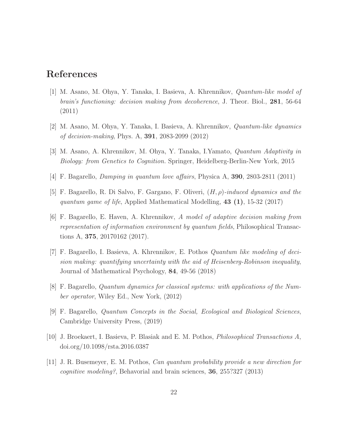### <span id="page-21-4"></span>References

- [1] M. Asano, M. Ohya, Y. Tanaka, I. Basieva, A. Khrennikov, Quantum-like model of brain's functioning: decision making from decoherence, J. Theor. Biol., 281, 56-64 (2011)
- <span id="page-21-5"></span><span id="page-21-0"></span>[2] M. Asano, M. Ohya, Y. Tanaka, I. Basieva, A. Khrennikov, Quantum-like dynamics of decision-making, Phys. A, 391, 2083-2099 (2012)
- <span id="page-21-7"></span>[3] M. Asano, A. Khrennikov, M. Ohya, Y. Tanaka, I.Yamato, Quantum Adaptivity in Biology: from Genetics to Cognition. Springer, Heidelberg-Berlin-New York, 2015
- <span id="page-21-9"></span>[4] F. Bagarello, Damping in quantum love affairs, Physica A, 390, 2803-2811 (2011)
- <span id="page-21-8"></span>[5] F. Bagarello, R. Di Salvo, F. Gargano, F. Oliveri,  $(H, \rho)$ -induced dynamics and the quantum game of life, Applied Mathematical Modelling,  $43$  (1), 15-32 (2017)
- [6] F. Bagarello, E. Haven, A. Khrennikov, A model of adaptive decision making from representation of information environment by quantum fields, Philosophical Transactions A, 375, 20170162 (2017).
- <span id="page-21-1"></span>[7] F. Bagarello, I. Basieva, A. Khrennikov, E. Pothos Quantum like modeling of decision making: quantifying uncertainty with the aid of Heisenberg-Robinson inequality, Journal of Mathematical Psychology, 84, 49-56 (2018)
- <span id="page-21-6"></span><span id="page-21-3"></span>[8] F. Bagarello, Quantum dynamics for classical systems: with applications of the Number operator, Wiley Ed., New York, (2012)
- <span id="page-21-10"></span>[9] F. Bagarello, Quantum Concepts in the Social, Ecological and Biological Sciences, Cambridge University Press, (2019)
- <span id="page-21-2"></span>[10] J. Broekaert, I. Basieva, P. Blasiak and E. M. Pothos, Philosophical Transactions A, doi.org/10.1098/rsta.2016.0387
- [11] J. R. Busemeyer, E. M. Pothos, Can quantum probability provide a new direction for *cognitive modeling?*, Behavorial and brain sciences, **36**,  $255$ ?327 (2013)